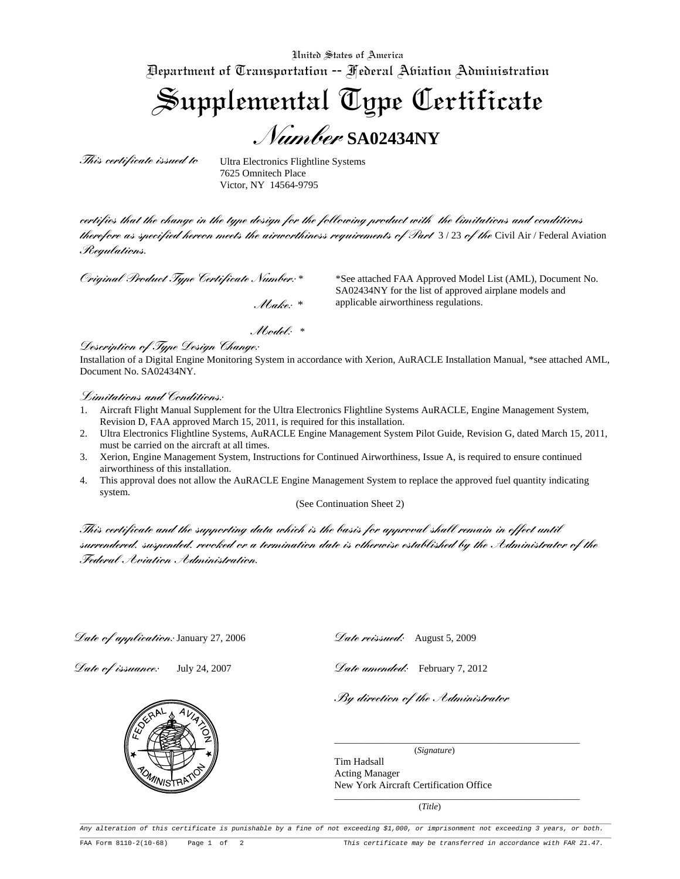United States of America Department of Transportation -- Federal Aviation Administration

Supplemental Type Certificate *Number* **SA02434NY**

*This certificate issued to* 

Ultra Electronics Flightline Systems 7625 Omnitech Place Victor, NY 14564-9795

*certifies that the change in the type design for the following product with the limitations and conditions therefore as specified hereon meets the airworthiness requirements of Part* 3 / 23 *of the* Civil Air / Federal Aviation *Regulations.* 

*Original Product Type Certificate Number:* \*

\*See attached FAA Approved Model List (AML), Document No. SA02434NY for the list of approved airplane models and applicable airworthiness regulations.

 *Make:* \*

 *Model:* \*

*Description of Type Design Change:* 

Installation of a Digital Engine Monitoring System in accordance with Xerion, AuRACLE Installation Manual, \*see attached AML, Document No. SA02434NY.

## *Limitations and Conditions:*

- 1. Aircraft Flight Manual Supplement for the Ultra Electronics Flightline Systems AuRACLE, Engine Management System, Revision D, FAA approved March 15, 2011, is required for this installation.
- 2. Ultra Electronics Flightline Systems, AuRACLE Engine Management System Pilot Guide, Revision G, dated March 15, 2011, must be carried on the aircraft at all times.
- 3. Xerion, Engine Management System, Instructions for Continued Airworthiness, Issue A, is required to ensure continued airworthiness of this installation.
- 4. This approval does not allow the AuRACLE Engine Management System to replace the approved fuel quantity indicating system.

(See Continuation Sheet 2)

*This certificate and the supporting data which is the basis for approval shall remain in effect until surrendered, suspended, revoked or a termination date is otherwise established by the Administrator of the Federal Aviation Administration.*

*Date of application:* January 27, 2006

*Date of issuance:* July 24, 2007



*Date amended:* February 7, 2012

*By direction of the Administrator* 

 (*Signature*) Tim Hadsall Acting Manager New York Aircraft Certification Office

(*Title*)

\_\_\_\_\_\_\_\_\_\_\_\_\_\_\_\_\_\_\_\_\_\_\_\_\_\_\_\_\_\_\_\_\_\_\_\_\_\_\_\_\_\_\_\_\_\_\_\_\_\_\_\_\_\_\_

\_\_\_\_\_\_\_\_\_\_\_\_\_\_\_\_\_\_\_\_\_\_\_\_\_\_\_\_\_\_\_\_\_\_\_\_\_\_\_\_\_\_\_\_\_\_\_\_\_\_\_\_\_\_\_

Any alteration of this certificate is punishable by a fine of not exceeding \$1,000, or imprisonment not exceeding 3 years, or both.  $\overline{\phantom{a}}$ FAA Form 8110-2(10-68) Page 1 of 2 This certificate may be transferred in accordance with FAR 21.47.